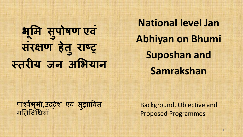# **भ ू म सु पोषण एवं संरण हेतुरा तरय जन अभयान**

**National level Jan Abhiyan on Bhumi Suposhan and Samrakshan**

पार्श्वभूमी,उद्देश एवं सुझावित गतिविधियाँ

Background, Objective and Proposed Programmes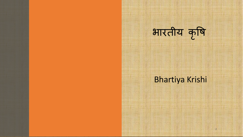

#### Bhartiya Krishi

 $\overline{\phantom{0}}$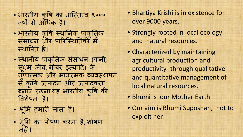- भारतीय कृषि का अस्तित्व ९००० वर्षों से अधिक है।
- भारतीय कृषि स्थानिक प्राकृतिक संसाधन और पारिस्थितिकी में थापत है।
- स्थानीय प्राकृतिक संसाधन (पानी, सू म जीव, गोबर इयाद) के गुणात्मक और मात्रात्मक व्यवस्थापन से क ृ ष उपादन और उपादकता बनाएँ रखना यह भारतीय कृषि की विशेषता है।
- भूमि हमारी माता है।
- भूमि का पोषण करना है,शोषण नहं।
- Bhartiya Krishi is in existence for over 9000 years.
- Strongly rooted in local ecology and natural resources.
- Characterized by maintaining agricultural production and productivity through qualitative and quantitative management of local natural resources.
- Bhumi is our Mother Earth.
- Our aim is Bhumi Suposhan, not to exploit her.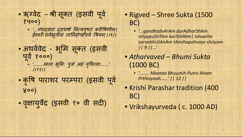- ॠग्वेद –श्री सूक्त (इसवी पूर्व १५००)
	- '…गंधदवारां दुराधर्षां नित्यपुष्टां करीषिणीम्। ईश्वरी सर्वभूतानां तामिहोपहॅवये श्रियम् ।।९।। ...*'*
- अथवेवेद भूमि सूक्त (इसवी प ू व १०००) • '………माता भूमिः पुत्रो अहं पृथिव्याः……' ।।१२।।
- कृषि पाराशर परम्परा (इसवी पूर्व ४००)
- वृक्षायुर्वेद (इसवी १० वी सदी)

#### • Rigved – Shree Sukta (1500 BC)

- *'…gandhadvArAm durAdharShAm nityapuShTAm karIShiNIm| IshvarIm sarvabhUtAnAm tAmihopahvaye shriyam || 9 ||…'*
- *Atharvaved Bhumi Sukta* (1000 BC)
	- *'…….. Maataa Bhuumih Putro Aham Prthivyaah……' || 12 ||*
- Krishi Parashar tradition (400 BC)
- Vrikshayurveda ( c. 1000 AD)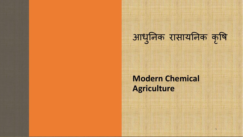

5

**Modern Chemical Agriculture**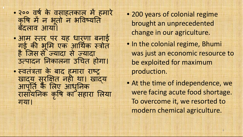- २०० वर्ष के वसाहतकाल में हमारे कृषि में न भूतों न भविष्यति बदलाव आया।
- आम तर पर यह धारणा बनाई गई की भूमि एक आर्थिक स्त्रोत है िजस से यादा से यादा उपादन नकालना उचत होगा।
- स्वतंत्रता के बाद हमारा राष्ट् खादय सुरक्षित नहीं था। खाद्य आपूर्ति कै लिए आधुनिक रासायनक क ृ ष का सहारा लया गया।
- 200 years of colonial regime brought an unprecedented change in our agriculture.
- In the colonial regime, Bhumi was just an economic resource to be exploited for maximum production.
- At the time of independence, we were facing acute food shortage. To overcome it, we resorted to modern chemical agriculture.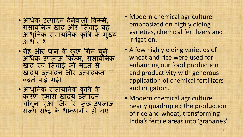- अधिक उत्पादन देनेवाली किस्मे, रासायनिक खाद और सिंचाई यह आधुनिक् रासायनिक कृषि के मुख्य आधार थे।
- गेहू और धान के कुछ गिने चुने अधिक उपजाऊ किस्म, रासायनिक खाद एवं सिंचाई की मदत से खाय उपादन और उपादकता मे बढ़त पाई गई।
- आध ु नक रासायनक क ृ ष के कारण हमारा खादय उत्पादन चौगुना हुआ जिस से कुछ उपजाऊ राज्य राष्ट्र के धान्यागौर हो गए।
- Modern chemical agriculture emphasized on high yielding varieties, chemical fertilizers and irrigation.
- A few high yielding varieties of wheat and rice were used for enhancing our food production and productivity with generous application of chemical fertilizers and irrigation.
- Modern chemical agriculture nearly quadrupled the production of rice and wheat, transforming India's fertile areas into 'granaries'.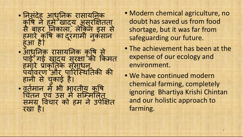- निसंदेह आधुनिक रासायनिक कृषि नै हमे खाद्य असुरक्षितता से बाहर नकाला, लेकन इस से हमारे कोषे का दूरगामी नुकसान ह ु आ है। • आधुनिक रासायनिक कृषि से पाई गई खादय सुरक्षा की किमत हमारे प्राकृतिकं संसाधन, पर्यावरण और पारिस्थितिकी की हानी से च ु काई है। • वतेमान में भी भारतीय कृषि चितन एवं उस में सम्मिलित समग्र विचार को हम ने उपेक्षित रखा है।
- Modern chemical agriculture, no doubt has saved us from food shortage, but it was far from safeguarding our future.
- The achievement has been at the expense of our ecology and environment.
- We have continued modern chemical farming, completely ignoring Bhartiya Krishi Chintan and our holistic approach to farming.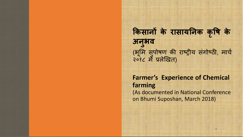#### **कसान के रासायनक क ृ ष के अन ु भव** (भूमि सुपोषण की राष्ट्रीय संगोष्ठी, मार्च २०१८ मे लेखत)

#### **Farmer's Experience of Chemical farming** (As documented in National Conference on Bhumi Suposhan, March 2018)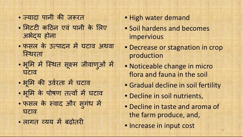- ज्यादा पानी की जरूरत
- मिटटी कठिन एवं पानी के लिए अभेय होना
- फसल के उत्पादन में घटाव अथवा िथरता
- भूमि में स्थित सूक्ष्म जीवाणुओं में घटाव
- भूमि की उवेरता में घटाव
- भूमि के पोषण तत्वों में घटाव
- फसल के वाद और सु गंध म घटाव
- लागत व्यय में बढ़ोतरी
- High water demand
- Soil hardens and becomes impervious
- Decrease or stagnation in crop production
- Noticeable change in micro flora and fauna in the soil
- Gradual decline in soil fertility
- Decline in soil nutrients,
- Decline in taste and aroma of the farm produce, and,
- Increase in input cost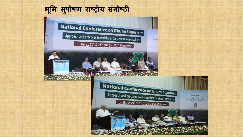#### **भ ू म सु पोषण राय स गोठं**

iwar

**IICT** 

vadies to meta sal to salt.<br>177 û 2017 post e 1871

National Conference on Bhumi Suposhan

Approach and practices to enrich soil for sustainable agriculture

on March 24<sup>th</sup> & 25<sup>th</sup> 2018 at IICT, Hyderabad

National Conference on Bhumi Suposhan Approach and practices to enrich soil for sustainable agriculture on March 24<sup>th</sup> & 25<sup>th</sup> 2018 at IICT, Hyderabad

**Bhar** 

Sponsored by: **Bharat Vikas Parishad** Hyderabad

do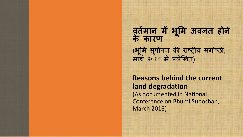**वतम ान मभ ू म अवनत होने के कारण** (भूमि सुपोषण की राष्ट्रीय संगोष्ठी, माच २०१८ मे लेखत)

**Reasons behind the current land degradation** (As documented in National Conference on Bhumi Suposhan, March 2018)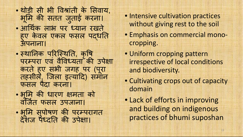- थोड़ी सी भी वांती के सवाय, भूमि की सतत जुताई करना। • आथक लाभ पर यान रखते
- हुए केवल एकल फसल पद्धति<br>उ अपनाना।
- स्थानिक परिस्थिति, कृषि परम्परा एवं वैविध्यता की उपेक्षा करते हु ए सभी जगह पर (प ूरा तहसील, िजला इयाद) समान फसल पैदा करना।
- भूमि की धारण क्षमता को विजत फसल उपजाना।
- भूमि सुपोषण की परम्परागत देशज पंध्दति की उपेक्षा।
- Intensive cultivation practices without giving rest to the soil
- Emphasis on commercial monocropping.
- Uniform cropping pattern irrespective of local conditions and biodiversity.
- Cultivating crops out of capacity domain
- Lack of efforts in improving and building on indigenous practices of bhumi suposhan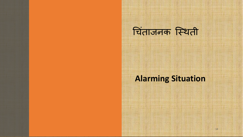### चिंताजनक स्थिती

#### **Alarming Situation**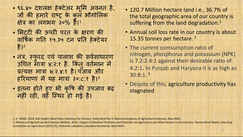- ९६.४० दशलक्ष हेक्टेअर भूमि अवनत है, जो की हमारे राष्ट्र के कुल भौगोलिक क्षेत्र का लगभग ३०% हैं। $^{\rm 1}$
- मिटटी की ऊपरी परत के क्षरण की वार्षिक गति १५.३५ टन प्रति हेक्टेयर है। 2
- नत्र, स्फुरद एवं पालाश की सर्वसाधारण उचित मात्रा ४:२:१ है. किंतु वर्तमान में ं प्रत्यक्ष मात्रा ७:२.४:१ है। पंजाब और हरियाणा में यह मात्रा ३०:८:१ है।<sup>3</sup>
- इतना होते हु ए भी क ृ ष क उपजाव बढ़ नहीं रही, वह स्थिर हो गई है।
- 120.7 Million hectare land i.e., 36.7% of the total geographic area of our country is suffering from the land degradation.<sup>1</sup>
- Annual soil loss rate in our country is about 15.35 tonnes per hectare. <sup>2</sup>
- The current comsumption ratio of nitrogen, phosphorus and potassium (NPK) is 7.2:2.4:1 against their desirable ratio of 4:2:1. In Punjab and Haryana it is as high as 30:8:1. <sup>3</sup>
- Despite of this, agriculture productivity has stagnated

<sup>1, 2</sup> NAAS. 2018. Soil Health: New Policy Initiatives for Farmers. Policy Brief No.3. National Academy of Agricultural Sciences, New Delhi.

<sup>3</sup> Ministry of Agriculture And Farmers Welfare. 2016. Impact of Chemical Fertilizers and Pesticides on Agriculture and Allied Sectors in the Country: Twenty Ninth Report, Standing Committee on Agriculture (2015-16), Sixteenth Loksabha. Loksabha Secretariat, New Delhi.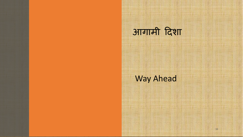## आगामी दशा

#### Way Ahead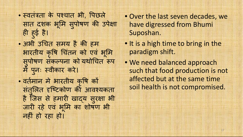- वतंता के पचात भी, पछले सात दशक भूमि सुपोषण की उपेक्षा ही हुई है।
- अभी उचित समय है की हम भारतीय कृषि चितन को एवं भूमि सुपोषण संकल्पना को यथोचित रूप म प ु नः वीकार करे।
- वर्तमान मे भारतीय कृषि को संतुर्लित दृष्टिकोण की आवश्यकता है जिस से हमारी खाद्य सुरक्षा भी जारी रहे एव भूमि का शोषण भी नहं हो रहा हो।
- Over the last seven decades, we have digressed from Bhumi Suposhan.
- It is a high time to bring in the paradigm shift.
- We need balanced approach such that food production is not affected but at the same time soil health is not compromised.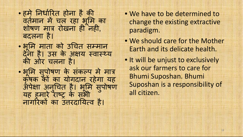- हमे निर्धारित होना है की वतेमान में चल रहा भूमि का शोषण मात्र रोखना ही नही, बदलना है।
- भ ू म माता को उचत समान देना है। उस के अक्षय स्वास्थ्य की ओर चलना है।
- भूमि सुपोषण के संकल्प में मात्र कृषक को का योगदान रहेगा यह अँपेक्षा अनुचित है। भूमि सुपोषण यह हमारे राष्ट्र के सभी नागरिकों का उत्तरदायित्व है।
- We have to be determined to change the existing extractive paradigm.
- We should care for the Mother Earth and its delicate health.
- It will be unjust to exclusively ask our farmers to care for Bhumi Suposhan. Bhumi Suposhan is a responsibility of all citizen.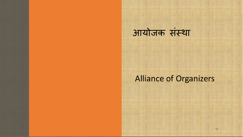### आयोजक संथा

#### Alliance of Organizers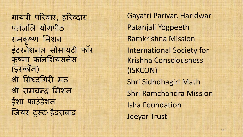गायत्री परिवार, हरिव्दार पतजलि योगपीठ रामकृ ण म शन इंटरने शनल सोसायट फॉर कृ णा कॉनशयसनेस ( इकॉन ) श्री सिंध्दगिरी मठ श्री रामचन्द्र मिशन ईशा फाउंडेशन जियर ट्रस्ट , हैदराबाद

Gayatri Parivar, Haridwar Patanjali Yogpeeth Ramkrishna Mission International Society for Krishna Consciousness (ISKCON) Shri Sidhdhagiri Math Shri Ramchandra Mission Isha Foundation Jeeyar Trust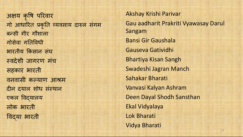अय क ृ ष परवार गो आधारित प्रकृति व्यवसाय दारुल संगम बसी गीर गौशाला गोसेवा गतवधी भारतीय कसान संघ वदेशी जागरण मचं सहकार भारती वनवासी कयाण आम दीन दयाल शोध संस्थान एकल वयालय लोक भारती वया भारती

Akshay Krishi Parivar Gau aadharit Prakriti Vyawasay Darul Sangam Bansi Gir Gaushala Gauseva Gatividhi Bhartiya Kisan Sangh Swadeshi Jagran Manch Sahakar Bharati Vanvasi Kalyan Ashram Deen Dayal Shodh Sansthan Ekal Vidyalaya Lok Bharati Vidya Bharati 21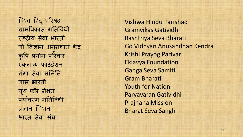विश्व हिंदू परिषद ग्रामविकास गतिविधी राष्ट्रीय सेवा भारती गो विज्ञान अनुसंधान केंद्र कृष योग परवार एकलव्य फाउडेशन गगा सेवा समिति ग्राम भारती यूथ फॉर ने शन पयावरण गतवधी प्रज्ञान मिशन भारत सेवा सघं

Vishwa Hindu Parishad Gramvikas Gatividhi Rashtriya Seva Bharati Go Vidnyan Anusandhan Kendra Krishi Prayog Parivar Eklavya Foundation Ganga Seva Samiti Gram Bharati Youth for Nation Paryavaran Gatividhi Prajnana Mission Bharat Seva Sangh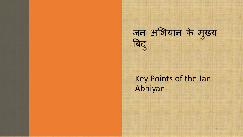# जन अभयान के म ु य बिदु

#### Key Points of the Jan Abhiyan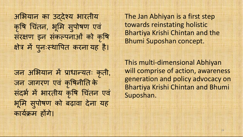अभयान का उदेय भारतीय कृषि चितन, भूमि सुपोषण एवं सरक्षण इन संकल्पनाओं को कृषि क्षेत्र में पुनःस्थापित करनां यह है।

जन अभयान म ाधायतः क ृती, जन जागरण एवं कृषिनीति के सदर्भ में भारतीय कृषि चितन एवं भ ू म सु पोषण को बढ़ावा देना यह कार्यक्रम होंगे।

The Jan Abhiyan is a first step towards reinstating holistic Bhartiya Krishi Chintan and the Bhumi Suposhan concept.

This multi-dimensional Abhiyan will comprise of action, awareness generation and policy advocacy on Bhartiya Krishi Chintan and Bhumi Suposhan.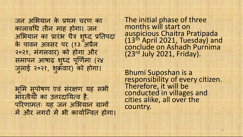जन अभयान के थम चरण का कालावध तीन माह होगा। जन आभैयान का प्रारभ चैत्र शुध्द प्रतिपदा के पावन अवसर पर (१३ अैल २०२१, मंगलवार) को होगा और समापन आषाढ़ शुध्द पूर्णिमा (२४ जुलाई २०२१, शुक्रवार) को होगा।

भूमि सुपोषण एव संरक्षण यह सभी भारतीयों का उत्तरदायित्व है. परिणामतः यह जन अभियान ग्रामों में और नगरों में भी कार्यान्वित होगा। The initial phase of three months will start on auspicious Chaitra Pratipada (13th April 2021, Tuesday) and conclude on Ashadh Purnima (23rd July 2021, Friday).

Bhumi Suposhan is a responsibility of every citizen. Therefore, it will be conducted in villages and cities alike, all over the country.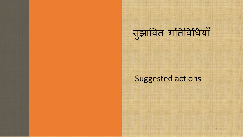# सुझावत गतवधयाँ

#### Suggested actions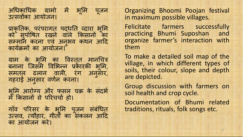अधिकाधिक ग्रामो में भूमि पू ू जन उत्सवोंका आयोजन।

प्राकृतिक्, परंपरागत् पद्धृति व्दारा भूमि को सुपोषित रखने वाले किसानो का सम्मान करना एवं अनुभव कथन आदि कार्यक्रमों का आयोजन।

ग्राम के भूमि का विस्तृत मानचित्र बनाना जिसमे विभिन्न प्रकारकी भूमि, समतल ढलान वाल, रंग अन ुसार, गहराई अन ुसार वणन करना।

भूमि आरोग्य और फसल चक्र के सदर्भ में किसानों से परिचर्चा हो।

गाँव परिसर के भूमि पूजन संबंधित उत्सव, त्यौहार, गीतौ का संकलन आदि का आयोजन करे।

Organizing Bhoomi Poojan festival in maximum possible villages.

Felicitate farmers successfully practicing Bhumi Suposhan and organize farmer's interaction with them

To make a detailed soil map of the village, in which different types of soils, their colour, slope and depth are depicted.

Group discussion with farmers on soil health and crop cycle.

Documentation of Bhumi related traditions, rituals, folk songs etc.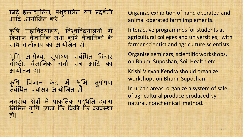छोटे हस्तचालित, पशुचालित यत्र प्रदर्शनी आद आयोिजत करे।

कृषि महाविद्यालय, विश्वविद्यालयो मे किसान वैज्ञानिक तथा कृषि वैज्ञानिको के साथ वातालाप का आयोजन हो।

भूमि आरोग्य, सुपोषण सर्बधित विचार गोष्ठी, वैज्ञानिक चचो सत्र आदि का आयोजन हो।

कृषि विज्ञान केंद्र में भूमि सुपोषण सर्बांधैत चर्चासत्र आयोजित हो।

नगरीय क्षेत्रों में प्राकृतिक पद्धति द्वारा निर्मित कृषि उपज कि विक्री कि व्यवस्था हो।

Organize exhibition of hand operated and animal operated farm implements.

Interactive programmes for students at agricultural colleges and universities, with farmer scientist and agriculture scientists.

Organize seminars, scientific workshops, on Bhumi Suposhan, Soil Health etc.

Krishi Vigyan Kendra should organize workshops on Bhumi Suposhan

In urban areas, organize a system of sale of agricultural produce produced by natural, nonchemical method.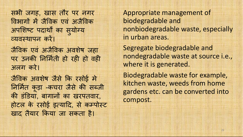सभी जगह, खास तौर पर नगर विभागों में जैविक एवं अजैविक अपशिष्ट पदार्थों का सुयोग्य यवथापन कर।

जैवक एवं अजैवक अवशषे जहा पर उनकी निर्मिती हो रही हो वही अलग करे।

जैवक अवशषे जैसे क रसोई मे निर्मित कूड़ा -कचरा जैसे की सब्जी की डंडिया, बागानों का खरपतवार, होटल के रसोई इत्यादि, से कम्पोस्ट खाद तैयार कया जा सकता है।

Appropriate management of biodegradable and nonbiodegradable waste, especially in urban areas.

Segregate biodegradable and nondegradable waste at source i.e., where it is generated.

Biodegradable waste for example, kitchen waste, weeds from home gardens etc. can be converted into compost.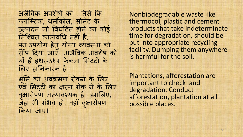अजैविक अवशेषों कों , जैसे कि लािटक, थमकोल, सीमट के उपादन जो वघटत होने का कोई निश्चित कालावधि नहीं है, पनःउपयोग हेतु योग्य व्यवस्था को सौंप दिया जाएँ। अजैविक अवशेष को यों ही इधर-उधर फेकना मिटटी के लए हानकारक है।

भ ू म का अवमण रोकने के लए एवं मिटटी का क्षरण रोक ने के लिए वृक्षारोपण अत्यावश्यक है। इसलिए, जहाँ भी संभव हो, वहाँ वृ ारोपण कया जाए।

Nonbiodegradable waste like thermocol, plastic and cement products that take indeterminate time for degradation, should be put into appropriate recycling facility. Dumping them anywhere is harmful for the soil.

Plantations, afforestation are important to check land degradation. Conduct afforestation, plantation at all possible places.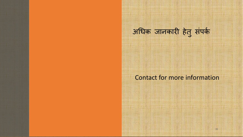### अधिक जानकारी हेतु संपर्क

#### Contact for more information